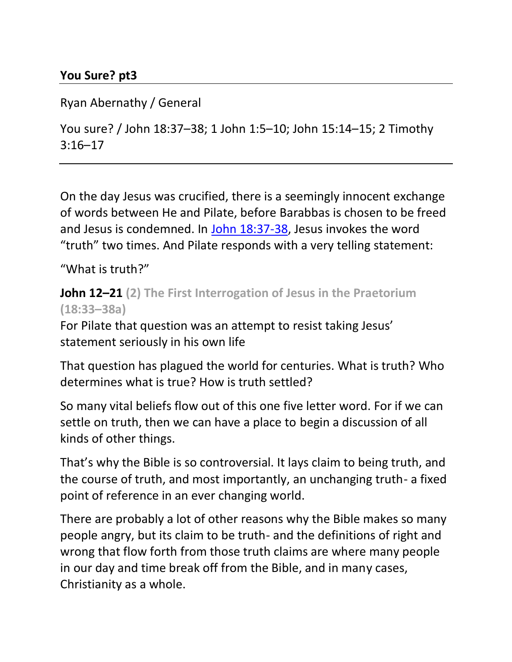#### **You Sure? pt3**

#### Ryan Abernathy / General

You sure? / John 18:37–38; 1 John 1:5–10; John 15:14–15; 2 Timothy 3:16–17

On the day Jesus was crucified, there is a seemingly innocent exchange of words between He and Pilate, before Barabbas is chosen to be freed and Jesus is condemned. In [John 18:37-38,](https://ref.ly/logosref/BibleESV.Jn18.37-38) Jesus invokes the word "truth" two times. And Pilate responds with a very telling statement:

"What is truth?"

#### **John 12–21 (2) The First Interrogation of Jesus in the Praetorium (18:33–38a)**

For Pilate that question was an attempt to resist taking Jesus' statement seriously in his own life

That question has plagued the world for centuries. What is truth? Who determines what is true? How is truth settled?

So many vital beliefs flow out of this one five letter word. For if we can settle on truth, then we can have a place to begin a discussion of all kinds of other things.

That's why the Bible is so controversial. It lays claim to being truth, and the course of truth, and most importantly, an unchanging truth- a fixed point of reference in an ever changing world.

There are probably a lot of other reasons why the Bible makes so many people angry, but its claim to be truth- and the definitions of right and wrong that flow forth from those truth claims are where many people in our day and time break off from the Bible, and in many cases, Christianity as a whole.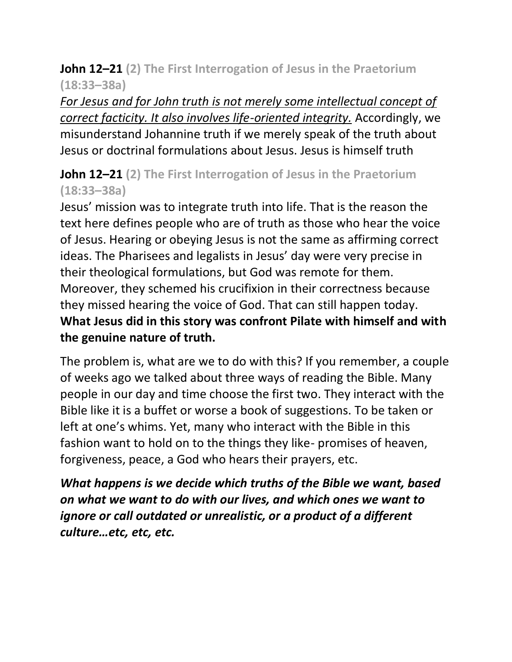#### **John 12–21 (2) The First Interrogation of Jesus in the Praetorium (18:33–38a)**

*For Jesus and for John truth is not merely some intellectual concept of correct facticity. It also involves life-oriented integrity.* Accordingly, we misunderstand Johannine truth if we merely speak of the truth about Jesus or doctrinal formulations about Jesus. Jesus is himself truth

### **John 12–21 (2) The First Interrogation of Jesus in the Praetorium (18:33–38a)**

Jesus' mission was to integrate truth into life. That is the reason the text here defines people who are of truth as those who hear the voice of Jesus. Hearing or obeying Jesus is not the same as affirming correct ideas. The Pharisees and legalists in Jesus' day were very precise in their theological formulations, but God was remote for them. Moreover, they schemed his crucifixion in their correctness because they missed hearing the voice of God. That can still happen today. **What Jesus did in this story was confront Pilate with himself and with the genuine nature of truth.**

The problem is, what are we to do with this? If you remember, a couple of weeks ago we talked about three ways of reading the Bible. Many people in our day and time choose the first two. They interact with the Bible like it is a buffet or worse a book of suggestions. To be taken or left at one's whims. Yet, many who interact with the Bible in this fashion want to hold on to the things they like- promises of heaven, forgiveness, peace, a God who hears their prayers, etc.

*What happens is we decide which truths of the Bible we want, based on what we want to do with our lives, and which ones we want to ignore or call outdated or unrealistic, or a product of a different culture…etc, etc, etc.*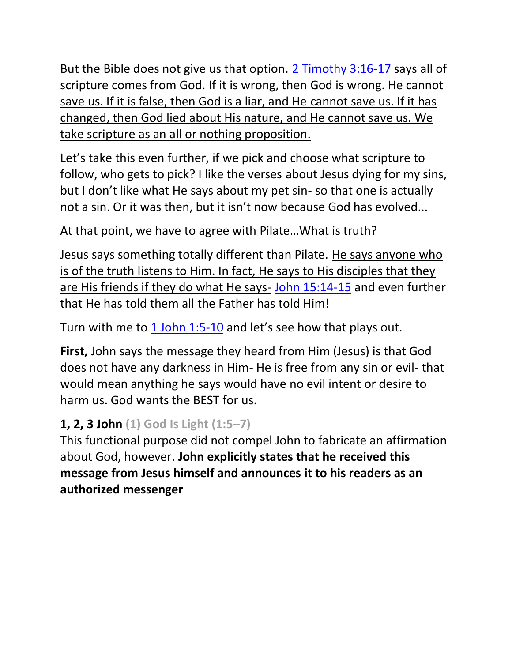But the Bible does not give us that option. [2 Timothy 3:16-17](https://ref.ly/logosref/BibleESV.2Ti3.16-17) says all of scripture comes from God. If it is wrong, then God is wrong. He cannot save us. If it is false, then God is a liar, and He cannot save us. If it has changed, then God lied about His nature, and He cannot save us. We take scripture as an all or nothing proposition.

Let's take this even further, if we pick and choose what scripture to follow, who gets to pick? I like the verses about Jesus dying for my sins, but I don't like what He says about my pet sin- so that one is actually not a sin. Or it was then, but it isn't now because God has evolved...

At that point, we have to agree with Pilate…What is truth?

Jesus says something totally different than Pilate. He says anyone who is of the truth listens to Him. In fact, He says to His disciples that they are His friends if they do what He says- [John 15:14-15](https://ref.ly/logosref/BibleESV.Jn15.14-15) and even further that He has told them all the Father has told Him!

Turn with me to [1 John 1:5-10](https://ref.ly/logosref/BibleESV.1Jn1.5-10) and let's see how that plays out.

**First,** John says the message they heard from Him (Jesus) is that God does not have any darkness in Him- He is free from any sin or evil- that would mean anything he says would have no evil intent or desire to harm us. God wants the BEST for us.

# **1, 2, 3 John (1) God Is Light (1:5–7)**

This functional purpose did not compel John to fabricate an affirmation about God, however. **John explicitly states that he received this message from Jesus himself and announces it to his readers as an authorized messenger**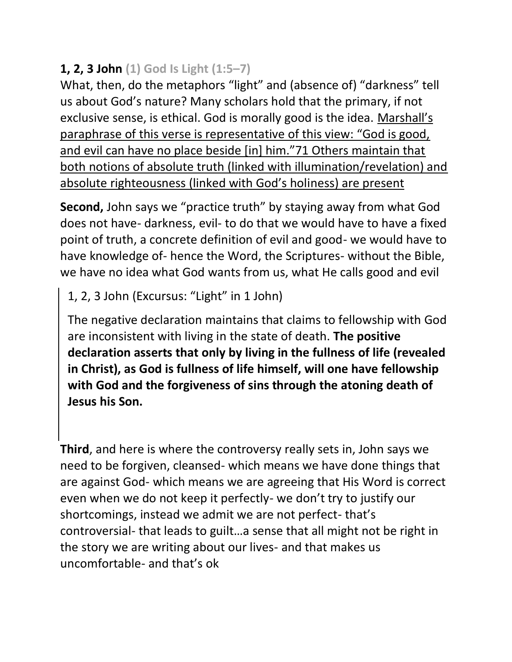# **1, 2, 3 John (1) God Is Light (1:5–7)**

What, then, do the metaphors "light" and (absence of) "darkness" tell us about God's nature? Many scholars hold that the primary, if not exclusive sense, is ethical. God is morally good is the idea. Marshall's paraphrase of this verse is representative of this view: "God is good, and evil can have no place beside [in] him."71 Others maintain that both notions of absolute truth (linked with illumination/revelation) and absolute righteousness (linked with God's holiness) are present

**Second,** John says we "practice truth" by staying away from what God does not have- darkness, evil- to do that we would have to have a fixed point of truth, a concrete definition of evil and good- we would have to have knowledge of- hence the Word, the Scriptures- without the Bible, we have no idea what God wants from us, what He calls good and evil

1, 2, 3 John (Excursus: "Light" in 1 John)

The negative declaration maintains that claims to fellowship with God are inconsistent with living in the state of death. **The positive declaration asserts that only by living in the fullness of life (revealed in Christ), as God is fullness of life himself, will one have fellowship with God and the forgiveness of sins through the atoning death of Jesus his Son.**

**Third**, and here is where the controversy really sets in, John says we need to be forgiven, cleansed- which means we have done things that are against God- which means we are agreeing that His Word is correct even when we do not keep it perfectly- we don't try to justify our shortcomings, instead we admit we are not perfect- that's controversial- that leads to guilt…a sense that all might not be right in the story we are writing about our lives- and that makes us uncomfortable- and that's ok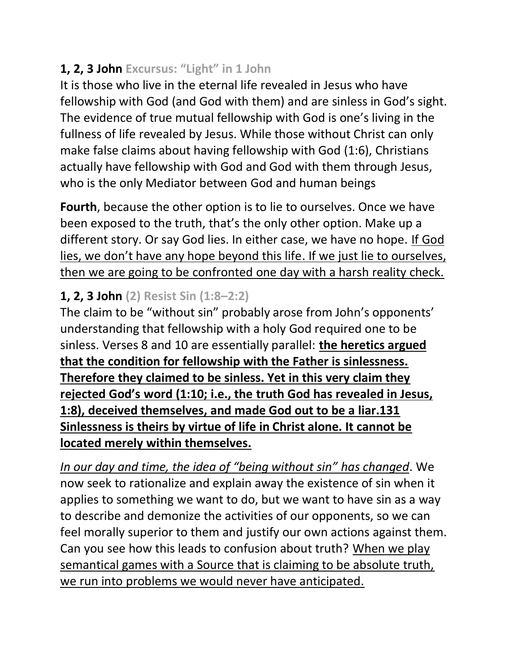# **1, 2, 3 John Excursus: "Light" in 1 John**

It is those who live in the eternal life revealed in Jesus who have fellowship with God (and God with them) and are sinless in God's sight. The evidence of true mutual fellowship with God is one's living in the fullness of life revealed by Jesus. While those without Christ can only make false claims about having fellowship with God (1:6), Christians actually have fellowship with God and God with them through Jesus, who is the only Mediator between God and human beings

**Fourth**, because the other option is to lie to ourselves. Once we have been exposed to the truth, that's the only other option. Make up a different story. Or say God lies. In either case, we have no hope. If God lies, we don't have any hope beyond this life. If we just lie to ourselves, then we are going to be confronted one day with a harsh reality check.

# **1, 2, 3 John (2) Resist Sin (1:8–2:2)**

The claim to be "without sin" probably arose from John's opponents' understanding that fellowship with a holy God required one to be sinless. Verses 8 and 10 are essentially parallel: **the heretics argued that the condition for fellowship with the Father is sinlessness. Therefore they claimed to be sinless. Yet in this very claim they rejected God's word (1:10; i.e., the truth God has revealed in Jesus, 1:8), deceived themselves, and made God out to be a liar.131 Sinlessness is theirs by virtue of life in Christ alone. It cannot be located merely within themselves.**

*In our day and time, the idea of "being without sin" has changed*. We now seek to rationalize and explain away the existence of sin when it applies to something we want to do, but we want to have sin as a way to describe and demonize the activities of our opponents, so we can feel morally superior to them and justify our own actions against them. Can you see how this leads to confusion about truth? When we play semantical games with a Source that is claiming to be absolute truth, we run into problems we would never have anticipated.